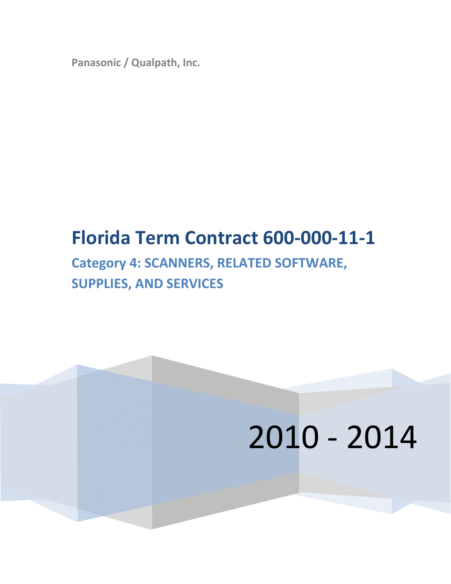**Panasonic / Qualpath, Inc.**

# **Florida Term Contract 600‐000‐11‐1**

## **Category 4: SCANNERS, RELATED SOFTWARE, SUPPLIES, AND SERVICES**

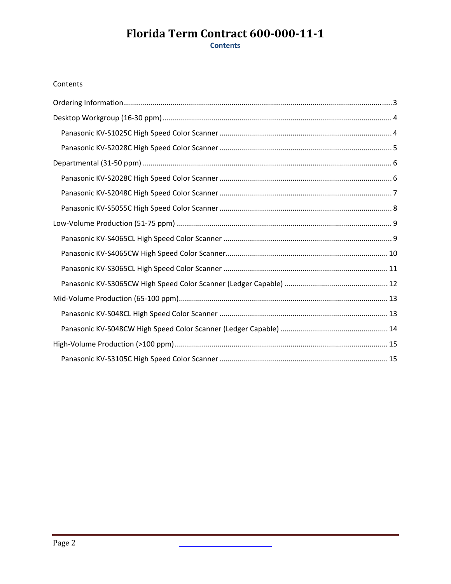### Florida Term Contract 600-000-11-1 **Contents**

#### Contents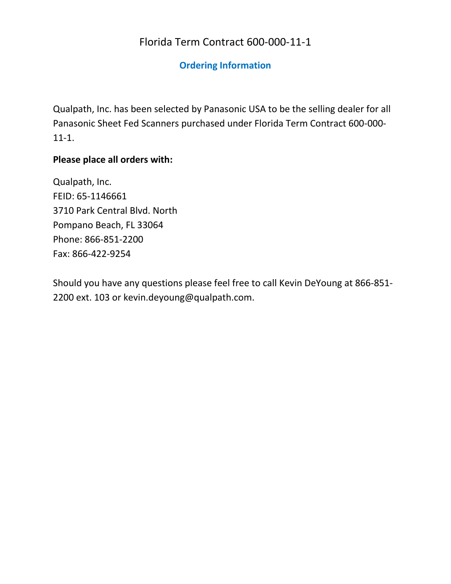### Florida Term Contract 600-000-11-1

#### **Ordering Information**

Qualpath, Inc. has been selected by Panasonic USA to be the selling dealer for all Panasonic Sheet Fed Scanners purchased under Florida Term Contract 600-000-11-1.

#### **Please place all orders with:**

Qualpath, Inc. FEID: 65-1146661 3710 Park Central Blvd. North Pompano Beach, FL 33064 Phone: 866-851-2200 Fax: 866-422-9254

Should you have any questions please feel free to call Kevin DeYoung at 866-851-2200 ext. 103 or kevin.deyoung@qualpath.com.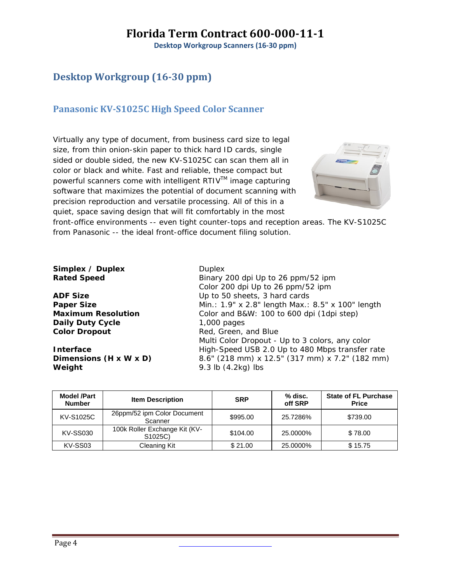**Desktop Workgroup Scanners (16‐30 ppm)**

### **Desktop Workgroup (1630 ppm)**

#### **Panasonic KVS1025C High Speed Color Scanner**

Virtually any type of document, from business card size to legal size, from thin onion-skin paper to thick hard ID cards, single sided or double sided, the new KV-S1025C can scan them all in color or black and white. Fast and reliable, these compact but powerful scanners come with intelligent RTIV™ image capturing software that maximizes the potential of document scanning with precision reproduction and versatile processing. All of this in a quiet, space saving design that will fit comfortably in the most



front-office environments -- even tight counter-tops and reception areas. The KV-S1025C from Panasonic -- the ideal front-office document filing solution.

| Duplex<br>Binary 200 dpi Up to 26 ppm/52 ipm      |
|---------------------------------------------------|
| Color 200 dpi Up to 26 ppm/52 ipm                 |
| Up to 50 sheets, 3 hard cards                     |
| Min.: 1.9" x 2.8" length Max.: 8.5" x 100" length |
| Color and B&W: 100 to 600 dpi (1dpi step)         |
| $1,000$ pages                                     |
| Red, Green, and Blue                              |
| Multi Color Dropout - Up to 3 colors, any color   |
| High-Speed USB 2.0 Up to 480 Mbps transfer rate   |
| 8.6" (218 mm) x 12.5" (317 mm) x 7.2" (182 mm)    |
| 9.3 lb $(4.2kg)$ lbs                              |
|                                                   |

| <b>Model /Part</b><br><b>Number</b> | <b>Item Description</b>                               | <b>SRP</b> | % disc.<br>off SRP | <b>State of FL Purchase</b><br><b>Price</b> |
|-------------------------------------|-------------------------------------------------------|------------|--------------------|---------------------------------------------|
| KV-S1025C                           | 26ppm/52 ipm Color Document<br>Scanner                | \$995.00   | 25.7286%           | \$739.00                                    |
| <b>KV-SS030</b>                     | 100k Roller Exchange Kit (KV-<br>S <sub>1025</sub> C) | \$104.00   | 25.0000%           | \$78.00                                     |
| KV-SS03                             | Cleaning Kit                                          | \$21.00    | 25.0000%           | \$15.75                                     |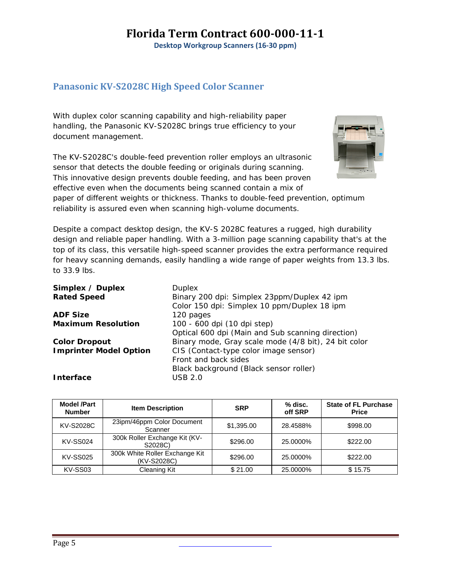**Desktop Workgroup Scanners (16‐30 ppm)**

#### **Panasonic KVS2028C High Speed Color Scanner**

With duplex color scanning capability and high-reliability paper handling, the Panasonic KV-S2028C brings true efficiency to your document management.

The KV-S2028C's double-feed prevention roller employs an ultrasonic sensor that detects the double feeding or originals during scanning. This innovative design prevents double feeding, and has been proven effective even when the documents being scanned contain a mix of



reliability is assured even when scanning high-volume documents. Despite a compact desktop design, the KV-S 2028C features a rugged, high durability

paper of different weights or thickness. Thanks to double-feed prevention, optimum

design and reliable paper handling. With a 3-million page scanning capability that's at the top of its class, this versatile high-speed scanner provides the extra performance required for heavy scanning demands, easily handling a wide range of paper weights from 13.3 lbs. to 33.9 lbs.

| <b>Duplex</b>                                        |
|------------------------------------------------------|
| Binary 200 dpi: Simplex 23ppm/Duplex 42 ipm          |
| Color 150 dpi: Simplex 10 ppm/Duplex 18 ipm          |
| 120 pages                                            |
| 100 - 600 dpi (10 dpi step)                          |
| Optical 600 dpi (Main and Sub scanning direction)    |
| Binary mode, Gray scale mode (4/8 bit), 24 bit color |
| CIS (Contact-type color image sensor)                |
| Front and back sides                                 |
| Black background (Black sensor roller)               |
| USB 2.0                                              |
|                                                      |

| <b>Model /Part</b><br><b>Number</b> | <b>Item Description</b>                       | <b>SRP</b> | % disc.<br>off SRP | <b>State of FL Purchase</b><br><b>Price</b> |
|-------------------------------------|-----------------------------------------------|------------|--------------------|---------------------------------------------|
| KV-S2028C                           | 23ipm/46ppm Color Document<br>Scanner         | \$1,395.00 | 28.4588%           | \$998.00                                    |
| <b>KV-SS024</b>                     | 300k Roller Exchange Kit (KV-<br>S2028C)      | \$296.00   | 25.0000%           | \$222.00                                    |
| <b>KV-SS025</b>                     | 300k White Roller Exchange Kit<br>(KV-S2028C) | \$296.00   | 25.0000%           | \$222.00                                    |
| KV-SS03                             | Cleaning Kit                                  | \$21.00    | 25.0000%           | \$15.75                                     |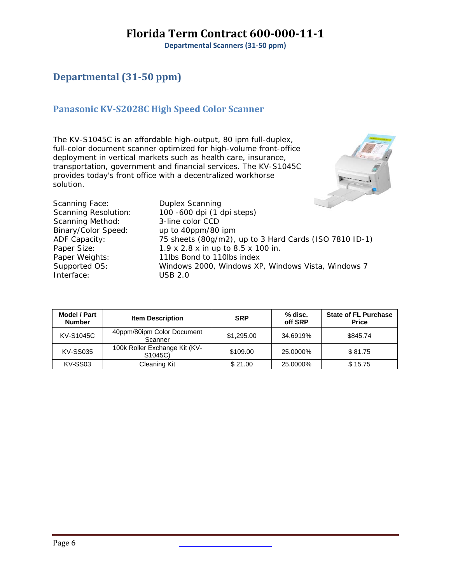**Departmental Scanners (31‐50 ppm)**

### **Departmental (3150 ppm)**

#### **Panasonic KVS2028C High Speed Color Scanner**

The KV-S1045C is an affordable high-output, 80 ipm full-duplex, full-color document scanner optimized for high-volume front-office deployment in vertical markets such as health care, insurance, transportation, government and financial services. The KV-S1045C provides today's front office with a decentralized workhorse solution.



| Scanning Face:              | <b>Duplex Scanning</b>                                 |
|-----------------------------|--------------------------------------------------------|
| <b>Scanning Resolution:</b> | 100 -600 dpi (1 dpi steps)                             |
| Scanning Method:            | 3-line color CCD                                       |
| Binary/Color Speed:         | up to 40ppm/80 ipm                                     |
| ADF Capacity:               | 75 sheets (80g/m2), up to 3 Hard Cards (ISO 7810 ID-1) |
| Paper Size:                 | 1.9 x 2.8 x in up to 8.5 x 100 in.                     |
| Paper Weights:              | 11lbs Bond to 110lbs index                             |
| Supported OS:               | Windows 2000, Windows XP, Windows Vista, Windows 7     |
| Interface:                  | USB 2.0                                                |
|                             |                                                        |

| <b>Model / Part</b><br><b>Number</b> | <b>Item Description</b>                               | <b>SRP</b> | % disc.<br>off SRP | <b>State of FL Purchase</b><br><b>Price</b> |
|--------------------------------------|-------------------------------------------------------|------------|--------------------|---------------------------------------------|
| <b>KV-S1045C</b>                     | 40ppm/80ipm Color Document<br>Scanner                 | \$1,295.00 | 34.6919%           | \$845.74                                    |
| <b>KV-SS035</b>                      | 100k Roller Exchange Kit (KV-<br>S <sub>1045</sub> C) | \$109.00   | 25.0000%           | \$81.75                                     |
| KV-SS03                              | Cleaning Kit                                          | \$21.00    | 25.0000%           | \$15.75                                     |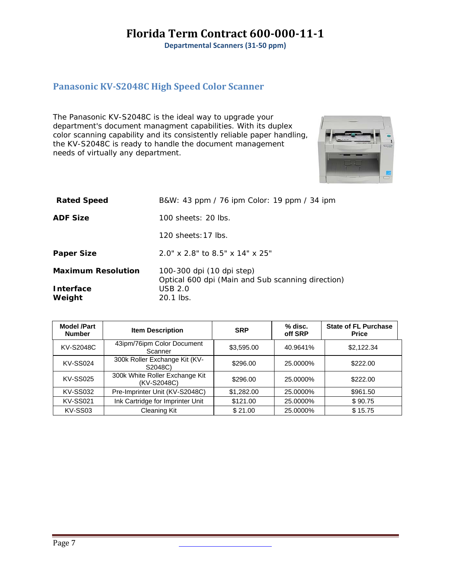**Departmental Scanners (31‐50 ppm)**

#### **Panasonic KVS2048C High Speed Color Scanner**

The Panasonic KV-S2048C is the ideal way to upgrade your department's document managment capabilities. With its duplex color scanning capability and its consistently reliable paper handling, the KV-S2048C is ready to handle the document management needs of virtually any department.



| <b>Rated Speed</b>        | B&W: 43 ppm / 76 ipm Color: 19 ppm / 34 ipm                                    |
|---------------------------|--------------------------------------------------------------------------------|
| <b>ADF Size</b>           | 100 sheets: 20 lbs.                                                            |
|                           | $120$ sheets: 17 lbs.                                                          |
| <b>Paper Size</b>         | $2.0''$ x $2.8''$ to $8.5''$ x $14''$ x $25''$                                 |
| <b>Maximum Resolution</b> | 100-300 dpi (10 dpi step)<br>Optical 600 dpi (Main and Sub scanning direction) |
| Interface<br>Weight       | <b>USB 2.0</b><br>20.1 lbs.                                                    |

| <b>Model /Part</b><br><b>Number</b> | <b>Item Description</b>                       | <b>SRP</b> | % disc.<br>off SRP | <b>State of FL Purchase</b><br><b>Price</b> |
|-------------------------------------|-----------------------------------------------|------------|--------------------|---------------------------------------------|
| KV-S2048C                           | 43ipm/76ipm Color Document<br>Scanner         | \$3,595.00 | 40.9641%           | \$2,122,34                                  |
| <b>KV-SS024</b>                     | 300k Roller Exchange Kit (KV-<br>S2048C)      | \$296.00   | 25.0000%           | \$222.00                                    |
| <b>KV-SS025</b>                     | 300k White Roller Exchange Kit<br>(KV-S2048C) | \$296.00   | 25.0000%           | \$222.00                                    |
| <b>KV-SS032</b>                     | Pre-Imprinter Unit (KV-S2048C)                | \$1,282.00 | 25.0000%           | \$961.50                                    |
| <b>KV-SS021</b>                     | Ink Cartridge for Imprinter Unit              | \$121.00   | 25.0000%           | \$90.75                                     |
| KV-SS03                             | Cleaning Kit                                  | \$21.00    | 25.0000%           | \$15.75                                     |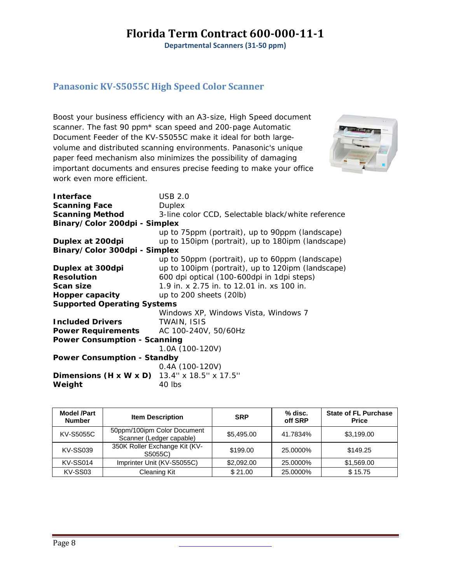**Departmental Scanners (31‐50 ppm)**

### **Panasonic KVS5055C High Speed Color Scanner**

Boost your business efficiency with an A3-size, High Speed document scanner. The fast 90 ppm\* scan speed and 200-page Automatic Document Feeder of the KV-S5055C make it ideal for both largevolume and distributed scanning environments. Panasonic's unique paper feed mechanism also minimizes the possibility of damaging important documents and ensures precise feeding to make your office work even more efficient.



| Interface                                           | USB 2.0                                            |
|-----------------------------------------------------|----------------------------------------------------|
| <b>Scanning Face</b>                                | Duplex                                             |
| <b>Scanning Method</b>                              | 3-line color CCD, Selectable black/white reference |
| Binary/Color 200dpi - Simplex                       |                                                    |
|                                                     | up to 75ppm (portrait), up to 90ppm (landscape)    |
| Duplex at 200dpi                                    | up to 150ipm (portrait), up to 180ipm (landscape)  |
| Binary/Color 300dpi - Simplex                       |                                                    |
|                                                     | up to 50ppm (portrait), up to 60ppm (landscape)    |
| Duplex at 300dpi                                    | up to 100ipm (portrait), up to 120ipm (landscape)  |
| <b>Resolution</b>                                   | 600 dpi optical (100-600dpi in 1dpi steps)         |
| Scan size                                           | 1.9 in. x 2.75 in. to 12.01 in. xs 100 in.         |
| Hopper capacity                                     | up to 200 sheets (20lb)                            |
| <b>Supported Operating Systems</b>                  |                                                    |
|                                                     | Windows XP, Windows Vista, Windows 7               |
| <b>Included Drivers</b>                             | TWAIN, ISIS                                        |
| <b>Power Requirements</b> AC 100-240V, 50/60Hz      |                                                    |
| <b>Power Consumption - Scanning</b>                 |                                                    |
|                                                     | 1.0A (100-120V)                                    |
| <b>Power Consumption - Standby</b>                  |                                                    |
|                                                     | $0.4A(100-120V)$                                   |
| <b>Dimensions (H x W x D)</b> 13.4" x 18.5" x 17.5" |                                                    |
| Weight                                              | 40 lbs                                             |

| <b>Model /Part</b><br><b>Number</b> | <b>Item Description</b>                                 | <b>SRP</b> | % disc.<br>off SRP | <b>State of FL Purchase</b><br><b>Price</b> |
|-------------------------------------|---------------------------------------------------------|------------|--------------------|---------------------------------------------|
| <b>KV-S5055C</b>                    | 50ppm/100ipm Color Document<br>Scanner (Ledger capable) | \$5,495.00 | 41.7834%           | \$3,199.00                                  |
| <b>KV-SS039</b>                     | 350K Roller Exchange Kit (KV-<br>S5055C)                | \$199.00   | 25.0000%           | \$149.25                                    |
| KV-SS014                            | Imprinter Unit (KV-S5055C)                              | \$2,092.00 | 25.0000%           | \$1,569.00                                  |
| KV-SS03                             | Cleaning Kit                                            | \$21.00    | 25.0000%           | \$15.75                                     |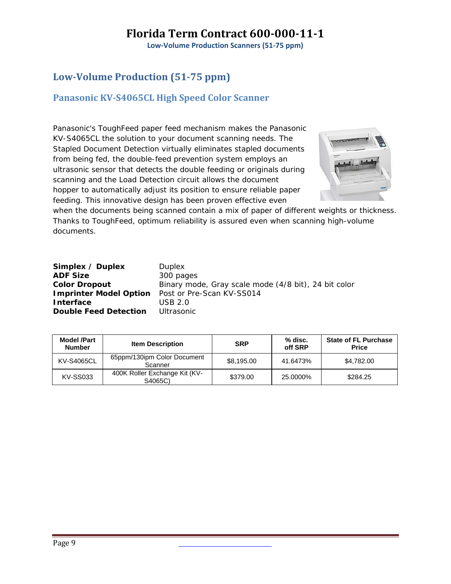**Low‐Volume Production Scanners (51‐75 ppm)**

### **LowVolume Production (5175 ppm)**

#### **Panasonic KVS4065CL High Speed Color Scanner**

Panasonic's ToughFeed paper feed mechanism makes the Panasonic KV-S4065CL the solution to your document scanning needs. The Stapled Document Detection virtually eliminates stapled documents from being fed, the double-feed prevention system employs an ultrasonic sensor that detects the double feeding or originals during scanning and the Load Detection circuit allows the document hopper to automatically adjust its position to ensure reliable paper feeding. This innovative design has been proven effective even



when the documents being scanned contain a mix of paper of different weights or thickness. Thanks to ToughFeed, optimum reliability is assured even when scanning high-volume documents.

| Simplex / Duplex              |
|-------------------------------|
| <b>ADF Size</b>               |
| <b>Color Dropout</b>          |
| <b>Imprinter Model Option</b> |
| <b>Interface</b>              |
| <b>Double Feed Detection</b>  |

**Duplex ADF Size** 300 pages Binary mode, Gray scale mode (4/8 bit), 24 bit color Post or Pre-Scan KV-SS014 **Interface** USB 2.0 **Ultrasonic** 

| <b>Model /Part</b><br><b>Number</b> | <b>Item Description</b>                  | <b>SRP</b> | % disc.<br>off SRP | <b>State of FL Purchase</b><br><b>Price</b> |
|-------------------------------------|------------------------------------------|------------|--------------------|---------------------------------------------|
| <b>KV-S4065CL</b>                   | 65ppm/130ipm Color Document<br>Scanner   | \$8.195.00 | 41.6473%           | \$4.782.00                                  |
| <b>KV-SS033</b>                     | 400K Roller Exchange Kit (KV-<br>S4065C) | \$379.00   | 25.0000%           | \$284.25                                    |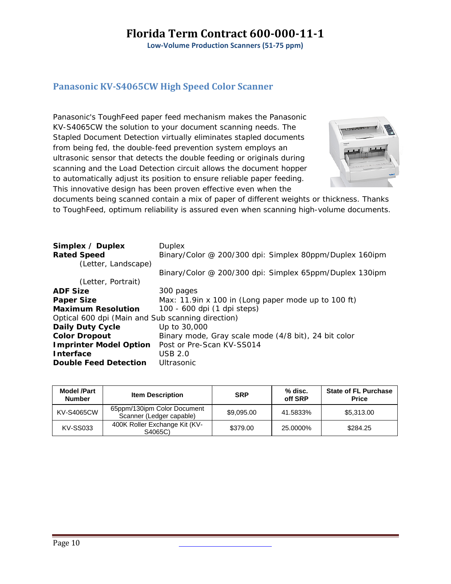**Low‐Volume Production Scanners (51‐75 ppm)**

#### **Panasonic KVS4065CW High Speed Color Scanner**

Panasonic's ToughFeed paper feed mechanism makes the Panasonic KV-S4065CW the solution to your document scanning needs. The Stapled Document Detection virtually eliminates stapled documents from being fed, the double-feed prevention system employs an ultrasonic sensor that detects the double feeding or originals during scanning and the Load Detection circuit allows the document hopper to automatically adjust its position to ensure reliable paper feeding. This innovative design has been proven effective even when the



documents being scanned contain a mix of paper of different weights or thickness. Thanks to ToughFeed, optimum reliability is assured even when scanning high-volume documents.

| Simplex / Duplex<br><b>Rated Speed</b>            | <b>Duplex</b><br>Binary/Color @ 200/300 dpi: Simplex 80ppm/Duplex 160ipm |
|---------------------------------------------------|--------------------------------------------------------------------------|
| (Letter, Landscape)                               | Binary/Color @ 200/300 dpi: Simplex 65ppm/Duplex 130ipm                  |
| (Letter, Portrait)                                |                                                                          |
| <b>ADF Size</b>                                   | 300 pages                                                                |
| <b>Paper Size</b>                                 | Max: 11.9 in x 100 in (Long paper mode up to 100 ft)                     |
| <b>Maximum Resolution</b>                         | 100 - 600 dpi (1 dpi steps)                                              |
| Optical 600 dpi (Main and Sub scanning direction) |                                                                          |
| <b>Daily Duty Cycle</b>                           | Up to 30,000                                                             |
| <b>Color Dropout</b>                              | Binary mode, Gray scale mode (4/8 bit), 24 bit color                     |
| <b>Imprinter Model Option</b>                     | Post or Pre-Scan KV-SS014                                                |
| <b>Interface</b>                                  | <b>USB 2.0</b>                                                           |
| <b>Double Feed Detection</b>                      | Ultrasonic                                                               |

| <b>Model /Part</b><br><b>Number</b> | <b>Item Description</b>                                 | <b>SRP</b> | % disc.<br>off SRP | <b>State of FL Purchase</b><br><b>Price</b> |
|-------------------------------------|---------------------------------------------------------|------------|--------------------|---------------------------------------------|
| <b>KV-S4065CW</b>                   | 65ppm/130ipm Color Document<br>Scanner (Ledger capable) | \$9.095.00 | 41.5833%           | \$5.313.00                                  |
| <b>KV-SS033</b>                     | 400K Roller Exchange Kit (KV-<br>S4065C)                | \$379.00   | 25.0000%           | \$284.25                                    |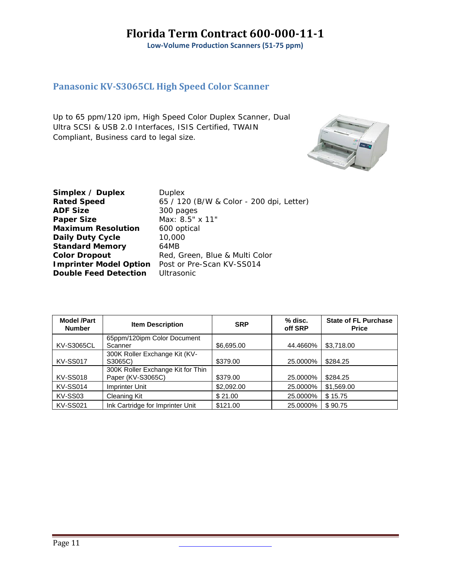**Low‐Volume Production Scanners (51‐75 ppm)**

#### **Panasonic KVS3065CL High Speed Color Scanner**

Up to 65 ppm/120 ipm, High Speed Color Duplex Scanner, Dual Ultra SCSI & USB 2.0 Interfaces, ISIS Certified, TWAIN Compliant, Business card to legal size.



**Simplex / Duplex** Duplex **ADF Size** 300 pages **Paper Size** Max: 8.5" x 11" **Maximum Resolution** 600 optical **Daily Duty Cycle** 10,000 **Standard Memory** 64MB **Double Feed Detection** Ultrasonic

**Rated Speed** 65 / 120 (B/W & Color - 200 dpi, Letter) **Color Dropout** Red, Green, Blue & Multi Color **Imprinter Model Option** Post or Pre-Scan KV-SS014

| <b>Model /Part</b><br><b>Number</b> | <b>Item Description</b>           | <b>SRP</b> | % disc.<br>off SRP | <b>State of FL Purchase</b><br><b>Price</b> |
|-------------------------------------|-----------------------------------|------------|--------------------|---------------------------------------------|
|                                     | 65ppm/120ipm Color Document       |            |                    |                                             |
| <b>KV-S3065CL</b>                   | Scanner                           | \$6,695.00 | 44.4660%           | \$3,718.00                                  |
|                                     | 300K Roller Exchange Kit (KV-     |            |                    |                                             |
| <b>KV-SS017</b>                     | S3065C)                           | \$379.00   | 25.0000%           | \$284.25                                    |
|                                     | 300K Roller Exchange Kit for Thin |            |                    |                                             |
| <b>KV-SS018</b>                     | Paper (KV-S3065C)                 | \$379.00   | 25.0000%           | \$284.25                                    |
| <b>KV-SS014</b>                     | Imprinter Unit                    | \$2,092.00 | 25.0000%           | \$1,569.00                                  |
| KV-SS03                             | Cleaning Kit                      | \$21.00    | 25.0000%           | \$15.75                                     |
| <b>KV-SS021</b>                     | Ink Cartridge for Imprinter Unit  | \$121.00   | 25.0000%           | \$90.75                                     |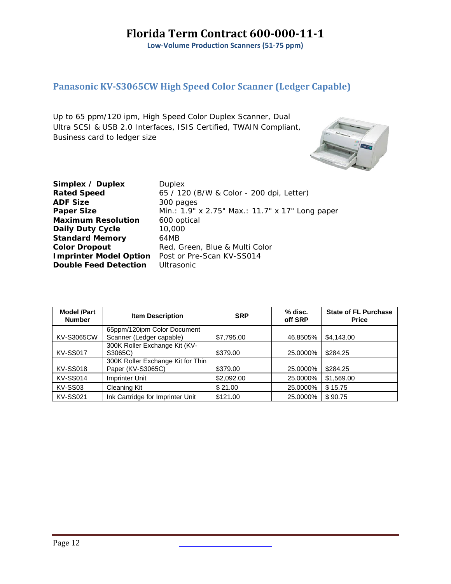**Low‐Volume Production Scanners (51‐75 ppm)**

### **Panasonic KVS3065CW High Speed Color Scanner (Ledger Capable)**

Up to 65 ppm/120 ipm, High Speed Color Duplex Scanner, Dual Ultra SCSI & USB 2.0 Interfaces, ISIS Certified, TWAIN Compliant, Business card to ledger size



| Simplex / Duplex              | <b>Duplex</b>                                   |
|-------------------------------|-------------------------------------------------|
| <b>Rated Speed</b>            | 65 / 120 (B/W & Color - 200 dpi, Letter)        |
| <b>ADF Size</b>               | 300 pages                                       |
| <b>Paper Size</b>             | Min.: 1.9" x 2.75" Max.: 11.7" x 17" Long paper |
| <b>Maximum Resolution</b>     | 600 optical                                     |
| <b>Daily Duty Cycle</b>       | 10,000                                          |
| <b>Standard Memory</b>        | 64MB                                            |
| <b>Color Dropout</b>          | Red, Green, Blue & Multi Color                  |
| <b>Imprinter Model Option</b> | Post or Pre-Scan KV-SS014                       |
| <b>Double Feed Detection</b>  | <b>Ultrasonic</b>                               |
|                               |                                                 |

| <b>Model /Part</b><br><b>Number</b> | <b>Item Description</b>           | <b>SRP</b> | % disc.<br>off SRP | <b>State of FL Purchase</b><br><b>Price</b> |
|-------------------------------------|-----------------------------------|------------|--------------------|---------------------------------------------|
|                                     | 65ppm/120ipm Color Document       |            |                    |                                             |
| <b>KV-S3065CW</b>                   | Scanner (Ledger capable)          | \$7,795.00 | 46.8505%           | \$4,143.00                                  |
|                                     | 300K Roller Exchange Kit (KV-     |            |                    |                                             |
| <b>KV-SS017</b>                     | S3065C)                           | \$379.00   | 25.0000%           | \$284.25                                    |
|                                     | 300K Roller Exchange Kit for Thin |            |                    |                                             |
| <b>KV-SS018</b>                     | Paper (KV-S3065C)                 | \$379.00   | 25.0000%           | \$284.25                                    |
| KV-SS014                            | Imprinter Unit                    | \$2,092.00 | 25.0000%           | \$1,569.00                                  |
| KV-SS03                             | <b>Cleaning Kit</b>               | \$21.00    | 25.0000%           | \$15.75                                     |
| <b>KV-SS021</b>                     | Ink Cartridge for Imprinter Unit  | \$121.00   | 25.0000%           | \$90.75                                     |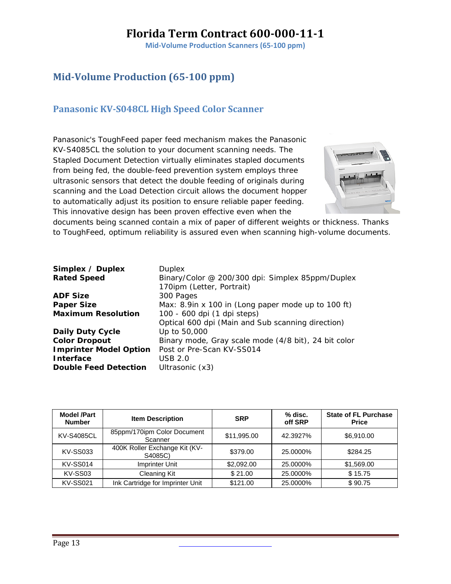**Mid‐Volume Production Scanners (65‐100 ppm)**

### **MidVolume Production (65100 ppm)**

#### **Panasonic KVS048CL High Speed Color Scanner**

Panasonic's ToughFeed paper feed mechanism makes the Panasonic KV-S4085CL the solution to your document scanning needs. The Stapled Document Detection virtually eliminates stapled documents from being fed, the double-feed prevention system employs three ultrasonic sensors that detect the double feeding of originals during scanning and the Load Detection circuit allows the document hopper to automatically adjust its position to ensure reliable paper feeding. This innovative design has been proven effective even when the



documents being scanned contain a mix of paper of different weights or thickness. Thanks to ToughFeed, optimum reliability is assured even when scanning high-volume documents.

| Simplex / Duplex<br><b>Rated Speed</b> | <b>Duplex</b><br>Binary/Color @ 200/300 dpi: Simplex 85ppm/Duplex<br>170ipm (Letter, Portrait) |
|----------------------------------------|------------------------------------------------------------------------------------------------|
| <b>ADF Size</b>                        | 300 Pages                                                                                      |
| <b>Paper Size</b>                      | Max: 8.9in x 100 in (Long paper mode up to 100 ft)                                             |
| <b>Maximum Resolution</b>              | 100 - 600 dpi (1 dpi steps)                                                                    |
|                                        | Optical 600 dpi (Main and Sub scanning direction)                                              |
| <b>Daily Duty Cycle</b>                | Up to 50,000                                                                                   |
| <b>Color Dropout</b>                   | Binary mode, Gray scale mode (4/8 bit), 24 bit color                                           |
| <b>Imprinter Model Option</b>          | Post or Pre-Scan KV-SS014                                                                      |
| <b>Interface</b>                       | USB 2.0                                                                                        |
| <b>Double Feed Detection</b>           | Ultrasonic (x3)                                                                                |

| <b>Model /Part</b><br><b>Number</b> | <b>Item Description</b>                  | <b>SRP</b>  | % disc.<br>off SRP | <b>State of FL Purchase</b><br><b>Price</b> |
|-------------------------------------|------------------------------------------|-------------|--------------------|---------------------------------------------|
| <b>KV-S4085CL</b>                   | 85ppm/170ipm Color Document<br>Scanner   | \$11,995.00 | 42.3927%           | \$6,910.00                                  |
| <b>KV-SS033</b>                     | 400K Roller Exchange Kit (KV-<br>S4085C) | \$379.00    | 25.0000%           | \$284.25                                    |
| <b>KV-SS014</b>                     | Imprinter Unit                           | \$2,092.00  | 25.0000%           | \$1,569.00                                  |
| KV-SS03                             | <b>Cleaning Kit</b>                      | \$21.00     | 25.0000%           | \$15.75                                     |
| <b>KV-SS021</b>                     | Ink Cartridge for Imprinter Unit         | \$121.00    | 25.0000%           | \$90.75                                     |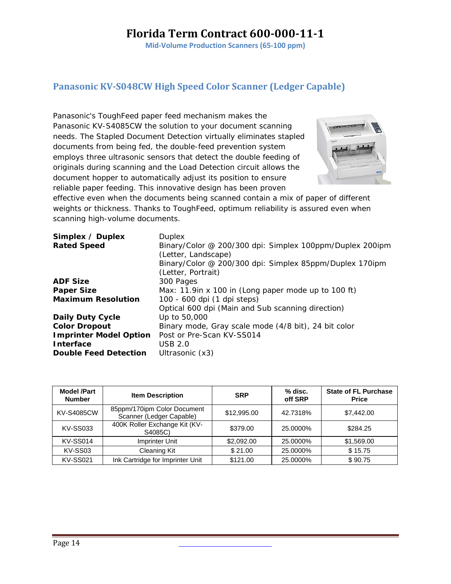**Mid‐Volume Production Scanners (65‐100 ppm)**

#### **Panasonic KVS048CW High Speed Color Scanner (Ledger Capable)**

Panasonic's ToughFeed paper feed mechanism makes the Panasonic KV-S4085CW the solution to your document scanning needs. The Stapled Document Detection virtually eliminates stapled documents from being fed, the double-feed prevention system employs three ultrasonic sensors that detect the double feeding of originals during scanning and the Load Detection circuit allows the document hopper to automatically adjust its position to ensure reliable paper feeding. This innovative design has been proven



effective even when the documents being scanned contain a mix of paper of different weights or thickness. Thanks to ToughFeed, optimum reliability is assured even when scanning high-volume documents.

| Simplex / Duplex              | Duplex                                                   |
|-------------------------------|----------------------------------------------------------|
| <b>Rated Speed</b>            | Binary/Color @ 200/300 dpi: Simplex 100ppm/Duplex 200ipm |
|                               | (Letter, Landscape)                                      |
|                               | Binary/Color @ 200/300 dpi: Simplex 85ppm/Duplex 170ipm  |
|                               | (Letter, Portrait)                                       |
| <b>ADF Size</b>               | 300 Pages                                                |
| <b>Paper Size</b>             | Max: 11.9 in x 100 in (Long paper mode up to 100 ft)     |
| <b>Maximum Resolution</b>     | 100 - 600 dpi (1 dpi steps)                              |
|                               | Optical 600 dpi (Main and Sub scanning direction)        |
| <b>Daily Duty Cycle</b>       | Up to 50,000                                             |
| <b>Color Dropout</b>          | Binary mode, Gray scale mode (4/8 bit), 24 bit color     |
| <b>Imprinter Model Option</b> | Post or Pre-Scan KV-SS014                                |
| <b>Interface</b>              | <b>USB 2.0</b>                                           |
| <b>Double Feed Detection</b>  | Ultrasonic (x3)                                          |

| <b>Model /Part</b><br><b>Number</b> | <b>Item Description</b>                                 | <b>SRP</b>  | % disc.<br>off SRP | <b>State of FL Purchase</b><br><b>Price</b> |
|-------------------------------------|---------------------------------------------------------|-------------|--------------------|---------------------------------------------|
| <b>KV-S4085CW</b>                   | 85ppm/170ipm Color Document<br>Scanner (Ledger Capable) | \$12,995.00 | 42.7318%           | \$7,442.00                                  |
| <b>KV-SS033</b>                     | 400K Roller Exchange Kit (KV-<br>S4085C)                | \$379.00    | 25.0000%           | \$284.25                                    |
| <b>KV-SS014</b>                     | Imprinter Unit                                          | \$2,092.00  | 25.0000%           | \$1,569.00                                  |
| KV-SS03                             | <b>Cleaning Kit</b>                                     | \$21.00     | 25.0000%           | \$15.75                                     |
| <b>KV-SS021</b>                     | Ink Cartridge for Imprinter Unit                        | \$121.00    | 25.0000%           | \$90.75                                     |